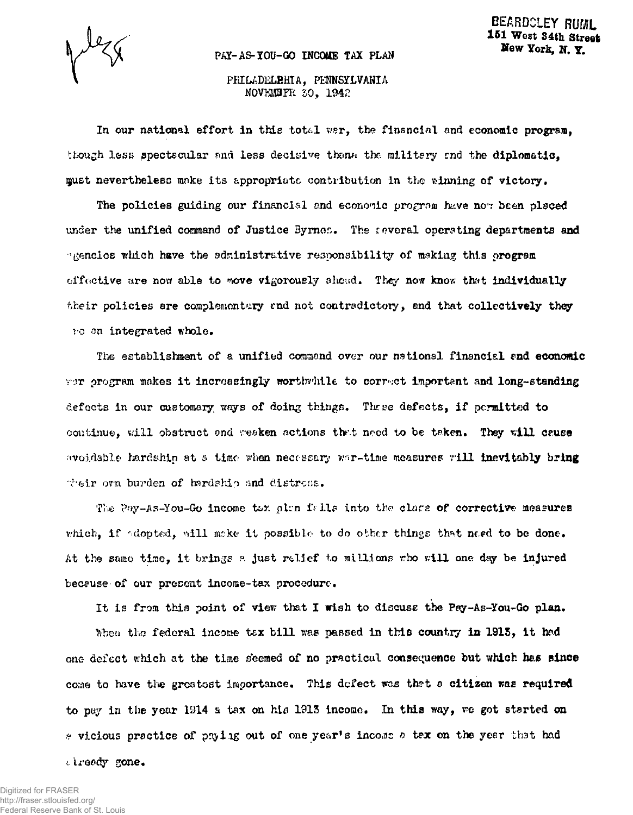## PAY-AS-YOU-GO INCOME TAX PLAN

## PHILADELRHIA, PENNSYLVANIA NOVKMBFR 50, 1942

In our national effort in this totcl war, the finsncial and economic program, though less spectscular and less decisive thank the military and the diplomatic. must nevertheless make its appropriate contribution in the winning of victory.

The policies guiding our financial and economic program have now been placed under the unified command of Justice Byrnon. The reveral operating departments and •'gencioB which have the administrative responsibility of making this program offoctive are now able to move vigorously ahead. They now know that individually their policies are complementary and not contradictory, and that collectively they vo an integrated whole.

The establishment of a unified command over our national financial and *economic*   $\gamma\text{Tr}$  program makes it increasingly worthwhile to correct important and long-standing defects in our customary, ways of doing things. These defects, if permitted to continue, will obstruct ond weaken actions *the.t* need to be taken. They will cause avoidable hardship at s time when necessary war-time measures will inevitably bring their own burden of hardship and distress.

The Pay-As-You-Go income tax plan fails into the clars of corrective measures which, if adopted, will make it possible to do other things that need to be done. At the same time, it brings a just relief to millions who will one day be injured because of our present income-tax procedure.

It is from this point of view that I wish to discuss the Pay-As-You-Go plan.

When the federal income tax bill was passed in this country in 1915, it had one defect which at the time seemed of no practical consequence but which has since come to have the greatest importance. This defect was that a citizen was required to pay in the year 1914 a tax on his 1913 income. In this way, we got started on  $\epsilon$  vicious practice of phying out of one year's income a tex on the year that had

Iready gone.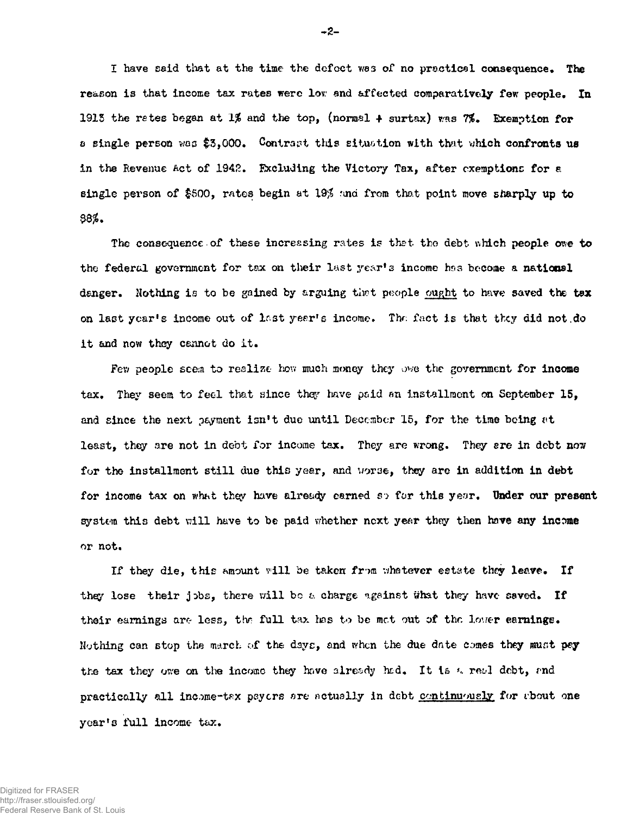I have said that at the time the defect was of no practical consequence. The reason is that income tax rates were low and affected comparatively few people. In 1913 the rates began at 1% and the top, (normal  $\uparrow$  surtax) was 7%. Exemption for a single person woe \$3,000. Contract this situation with that which confronts us in the Revenue Act of 1942. Excluding the Victory Tax, after exemptions for a single person of \$500, rates begin at 19\$ raid from that point move sharply up to **88\*.** 

The consequence of these increasing rates is that the debt which people owe to the federal government for tax on their last year's income has become a national danger. Nothing is to be gained by arguing *tlwt* people ought to have saved the *tax*  on last year's income out of Inst year's income. Thr: fact is that tkey did not.do it and now they cannot do it.

Few people seem to realize how much money they owe the government for income tax. They seem to feel that since they have paid an installment on September 15. and since the next payment isn<sup>f</sup>t due until December 15, for the time being *vt*  least, they are not in debt for income tax. They are wrong. They are in debt now for the installment still due this year, and worse, they are in addition in debt for income tax on what they have already carned so for this year. Under our present system this debt will have to be paid whether next year they then hove any income or not.

If they die, this amount vlli be taken *fr-m* v/hatever estate they leave. If they lose their jobs, there will bo a charge against what they have saved. If their earnings are less, the full tax has to be met out of the lover earnings. Nothing can stop the march of the days, and when the due date comes they must pay the tax they owe on the income they have already had. It is a real debt, and practically all income-tax payers are actually in debt continuously for about one year's full income tax.

**-2-**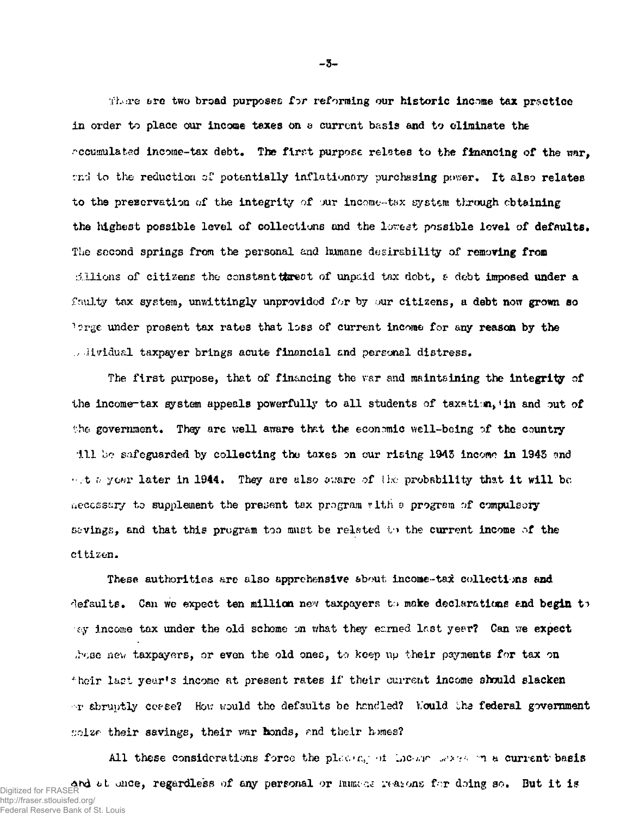•\±*mvq* ere two broad purposes for reforming our historic income tax practice in order to place our income taxes on a current basis and to eliminate the  $r$  coumulated income-tax debt. The first purpose relates to the financing of the war. and to the reduction of potentially inflationary purchasing power. It also relates to the preservation of the integrity of jur income-tax system through obtaining the highest possible level of collections and the lowest possible level of defaults. The second springs from the personal and humane desirability of removing from dilions of citizens the constant threat of unpaid tax debt,  $\epsilon$  debt imposed under a faulty tax system, unwittingly unprovided for by our citizens, a debt now grown so ">?rge under present tax rates that loss of current income for any reason by the dividual taxpayer brings acute financial and personal distress.

The first purpose, that of financing the var and maintaining the integrity of the income-tax gystem appeals powerfully to all students of taxation, in and out of the government. They are well aware that the economic well-being of the country 111 bo safeguarded by collecting the taxes on our rising 1945 income in 1945 md  $\cdot$  t a your later in 1944. They are also agare of the probability that it will be aeccss&xy to supplement the present tax program vith a program of compulsory sevings, and that this program too must be related to the current income of the citizen.

These authorities are also apprehensive about income-tax collections and defaults. Can we expect ten million new taxpayers to make declarations and begin to ey income tax under the old scheme on what they earned Inst year? Can we expect thas new taxpayers, or even the old ones, to keep up their payments for tax on <sup>4</sup> heir last year's income at present rates if their current income should slacken or abruptly cease? How would the defaults be handled? Would the federal government solze their savings, their war bonds, and their homes?

All these considerations force the placing of motor waves in a current basis Digitized for FRASER **and 6t once, regardless of any personal or hum**ings weasons for doing so. But it is is the i http://fraser.stlouisfed.org/ Federal Reserve Bank of St. Louis

**- 5 -**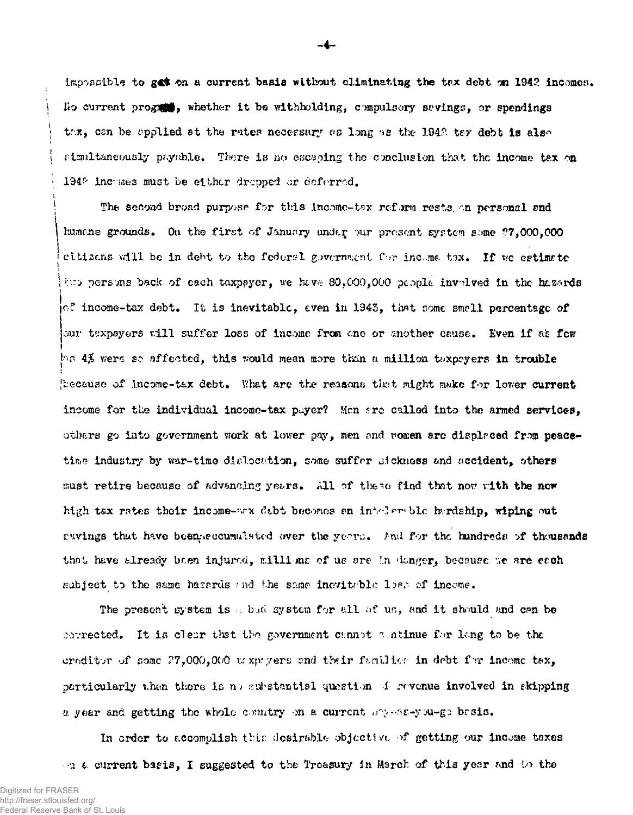impossible to gas on a current basis without eliminating the tax debt on 1942 incomes. Uo current program, whether it be withholding, compulsory savings, or spendings the can be applied st the rates necessary as long as the 1942 ter debt is also simultaneously payable. There is no escaping the conclusion that the income tax on 194° inchmes must be either dropped or deferred.

The second broad purpose for this income-tex reform rests on personal and humans grounds. On the first of January under pur present system some ?7,000,000 citizens will be in debt to the federal government for income tax. If we estimate two persons back of each taxpayer, we have 80,000,000 people involved in the hazards  $\sim$  income-tax debt. It is inevitable, even in 1943, that some smell percentage of our taxpayers will suffer loss of income from one or another cause. Even if at fow  $\psi$ s 4% were so affected, this would mean more than a million taxpayers in trouble because of income-tax debt. What are the reasons that might make for lower current income for the individual income-tax payer? Men are called into the armed services. others go into government work at lower pay, men and women are displaced from peacetime industry by war-time dislocation, some suffer sickness and accident, others must retire because of advancing years. All of these find that now with the new high tax rates their income- $\pi x$  debt becomes an intelexable hardship, wiping out swings that have been ecumulated over the years. And for the hundreds of theusands that have already been injured, millions of us are in danger, because we are each subject to the same hazards and the same inevitable lise of income.

The present system is a bud system for all of us, and it should and can be corrected. It is clear that the government cannot a atinue for long to be the creditor of some ?7,000,000 trxpryers end their f^mUior in dobt *f rc* incomc tax, particularly u.hen there is n> substantial question i revenue involved in skipping a year and getting the whole country on a current  $\log$ -ss-you-go basis.

In order to accomplish this desirable objective of getting our income taxes • •u a current basis, I suggested to the Treasury in March of this year and to the

 $\Delta$  $\mathbf{I}$  -4-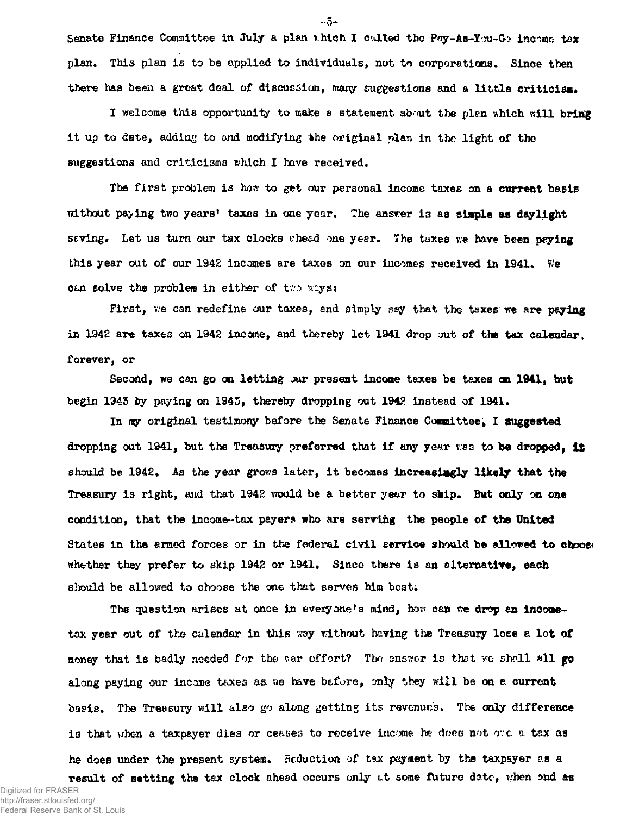Senate Finance Committee in July a plan which I called the Pay-As-You-Go income tax plan. This plan is to be applied to individuals, not to corporations. Since then there had been a great deal of discussion, many suggestions and a little criticism.

I welcome this opportunity to make a statement about the plen which will bring it up to date, adding to and modifying the original plan in the light of the suggestions and criticisms which I have received.

The first problem is how to get our personal income taxes on a current basis without paying two years' taxes in one year. The answer is as simple as daylight saving. Let us turn our tax clocks shead one year. The taxes we have been paying this year out of our 1942 incomes are taxes on our incomes received in 1941. We can solve the problem in either of two ways:

First, we can redefine our taxes, end simply say that the taxes we are paying in 1942 are taxes on 1942 income, and thereby let 1941 drop out of the tax calendar. forever, or

Second, we can go **on** letting **jut** present income taxes be taxes on **1941,** but begin 1945 by paying on 1945, thereby dropping out 194? instead of 1941.

In my original testimony before the Senate Finance Committee, I suggested dropping out 1941, but the Treasury preferred that if any year was to be dropped, it should be 1942. As the year grows later, it becomes increasingly likely that the Treasury is right, and that 1942 would be a better year to ship. But only on one condition, that the income-tax payers who are serving the people of the United States in the armed forces or in the federal civil service should be allowed to choose whether they prefer to skip 1942 or 1941. Since there is an alternative, each should be allowed to choose the one that serves him best;

The question arises at once in everyone's mind, how can we drop an incometax year out of the calendar in this way without having the Treasury lose a lot of money that is badly needed for the var offort? The answer is that we shall all go along paying our income taxes as. we have before, only they will be on a current basis. The Treasury will also go along getting its revenues. The only difference is that when a taxpayer dies or ceases to receive income he does not ore a tax as he does under the present system. Peduction of tax payment by the taxpayer as a result of setting the tax clock ahead occurs only at some future date, when and as

Digitized for FRASER http://fraser.stlouisfed.org/ Federal Reserve Bank of St. Louis **~ 5 -**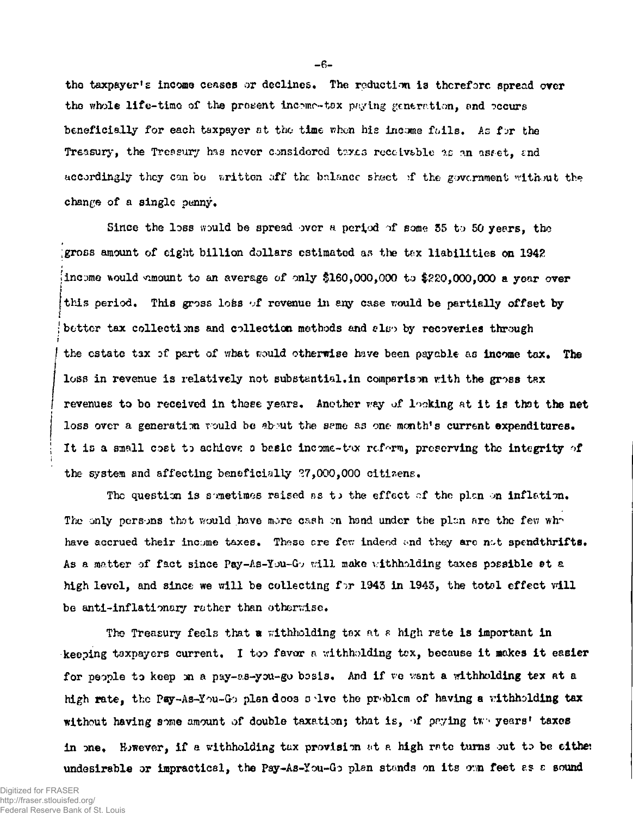the taxpayer's income ceases or declines. The reduction is therefore spread over the whole life-timo of the prosent incomr-tox paying generation, snd occurs beneficially for each taxpayer at the time when his income fails. As for the Treasury, the Treasury has never considered texts receivable as an asset, and accordingly they can be written off the balance skeet if the government without the change of a single penny.

Since the loss would be spread over a period of some 55 to 50 years, the ;gross amount of eight billion dollars estimated as the tax liabilities on 1942 Iincome would amount to an average of only \$160,000,000 to \$220,000,000 a year over this period. This gross loss of revenue in any case would be partially offset by *i*  better tax collections and collection methods and also by recoveries through *t*  the estate tax of part of what would otherwise have been payable as income tax. The loss in revenue is relatively not substantial. in comparison with the gross tax revenues to bo received in those years. Another way of looking at it is that the net loss over a generation would be about the same as one month's current expenditures. It is a small cost to achieve a basic income-thx reform, preserving the integrity of the system and affecting beneficially 27,000,000 citizens.

The question is sometimes raised as to the effect of the plan on inflation. The only persons that would have more cash on hand under the plan are the few whr have accrued their income taxes. These are few indeed and they are not spendthrifts. As a matter of fact since Pay-As-You-Gv will make withholding taxes possible at a high level, and since we will be collecting  $f \sim 1943$  in 1943, the total effect will be anti-inflationary rather than otherwise.

The Treasury feels that a withholding tax at a high rate is important in keeping taxpayers current. I too favor a withholding tax, because it makes it easier for people to keep on a pay-as-you-go basis. And if we want a withholding tex at a high rate, the Pay-As-You-Go plan does solve the problem of having a withholding tax without having some amount of double taxation; that is, of paying two years' taxes in one. However, if a withholding tax provision at a high rate turns out to be either undesirable or impractical, the Pay-As-You-Go plan stands on its own feet as a sound

**- 5 -**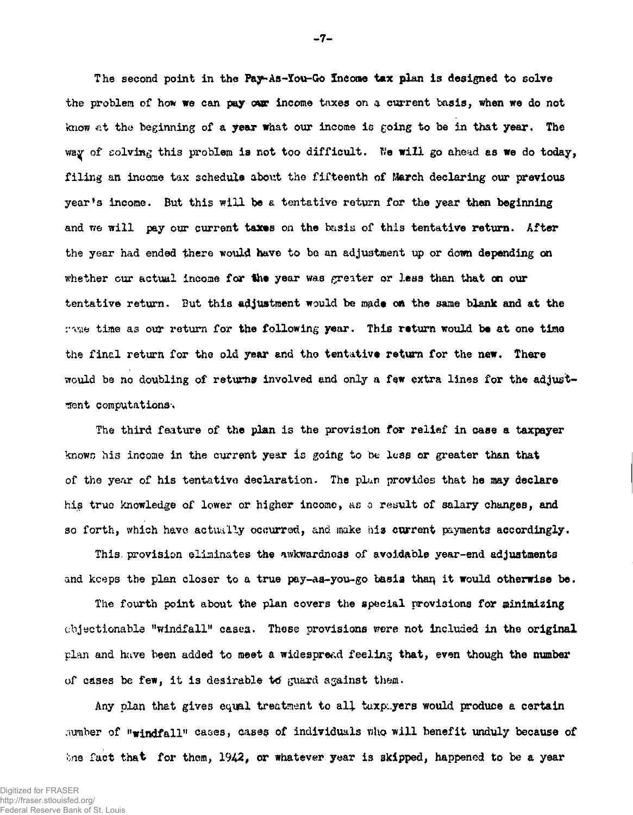The second point in the Pay-As-You-Go Income tax plan is designed to solve the problem of how we can pay our income taxes on a current basis, when we do not know at the beginning of a **year w**hat our income is going to be in that year. The way of solving this problem is not too difficult. We will go ahead as we do today, filing an income tax schedule about the fifteenth of March declaring our previous year's income. But this will be a tentative return for the year than beginning and we will pay our current taxes on the basis of this tentative return. After the year had ended there would have to be an adjustment up or down depending on whether cur actual income for the year was greater or less than that on our tentative return. But this adjustment would be made on the same blank and at the rime time as our return for the following year. This return would be at one time the final return for the old year and the tentative return for the new. There would be no doubling of returns involved and only a few extra lines for the adjustment computations-\*

The third feature of the plan is the provision for relief in case a taxpayer knows his income in the current year is going to be lose or greater than that of the year of his tentative declaration. The plan provides that he may declare his true knowledge of lower or higher income, as a result of salary changes, and so forth, which have actually occurred, and make his current payments accordingly.

This, provision eliminates the awkwardness of avoidable year-end adjustments and keeps the plan closer to a true pay-as-you-go basis than it would otherwise be.

The fourth point about the plan covers the special provisions for minimizing objectionable "windfall" cases. These provisions were not included in the original plan and have been added to meet a widespread feeling that, even though the number of cases be few, it is desirable to guard against them.

Any plan that gives equal treatment to all taxpayers would produce a certain number of  $\mathbf{w}_{\text{refndfall}}$  cases, cases of individuals who will benefit unduly because of Ine fact that for them,  $1942$ , or whatever year is skipped, happened to be a year

**- 7 -**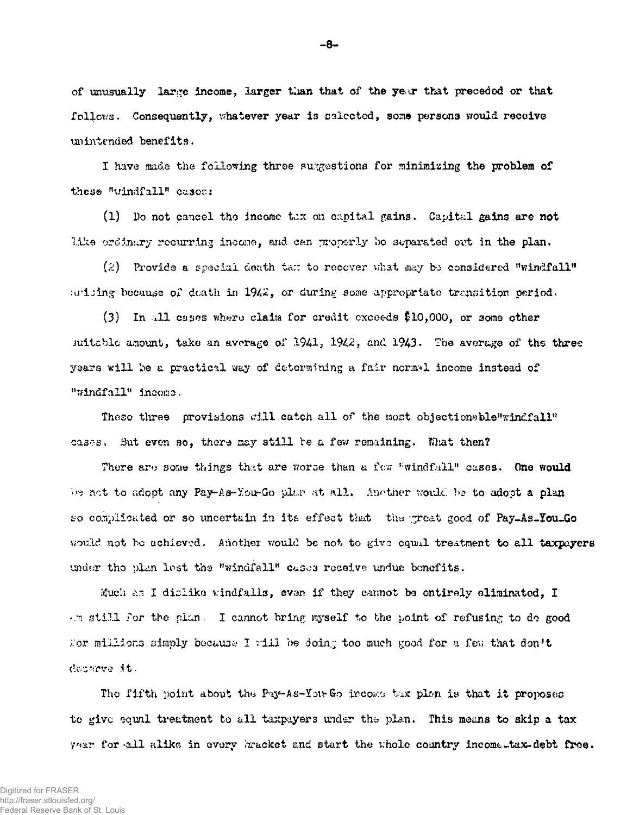of unusually large income, larger than that of the year that preceded or that follows. Consequently, whatever year is selected, some persons would receive unintended benefits.

I have made the following three suggestions for minimizing the problem of these "windfall" cases:

(1) Do not cancel the income tax on capital gains. Capital gains are not like ordinary recurring income, and can properly be separated out in the plan.

 $(2)$  Provide a special death tan to recover what may be considered "windfall" arising because of death in 1942, or during some appropriate transition period.

(3) In all cases where claim for credit exceeds \$10,000, or some other suitable amount, take an average of 1941, 1942, and 1943. The average of the three years will be a practical way of determining a fair normal income instead of "windfall" income.

These three provisions will catch all of the most objectionsble"windfall" cases. But even so, there may still be a few remaining. That then?

There are some things that are worse than a fow "windfall" cases. One would be not to adopt any Pay-As-You-Go plar at all. Another would be to adopt a plan so complicated or so uncertain in its effect that the great good of Pay-As-You-Go would not be achieved. Another would be not to give equal treatment to all taxpayers under the plan lest the "windfall" cases receive undue benefits.

Much as I dislike windfalls, even if they cannot be entirely eliminated, I Am still for the plan. I cannot bring myself to the point of refusing to do good For millions simply because I will be doing too much good for a few that don't departe it.

The fifth point about the Pay-As-You-Go income tax plen is that it proposes to give squal treatment to all taxpayers under the plan. This means to skip a tax year for all alike in every bracket and start the whole country income tax-debt free.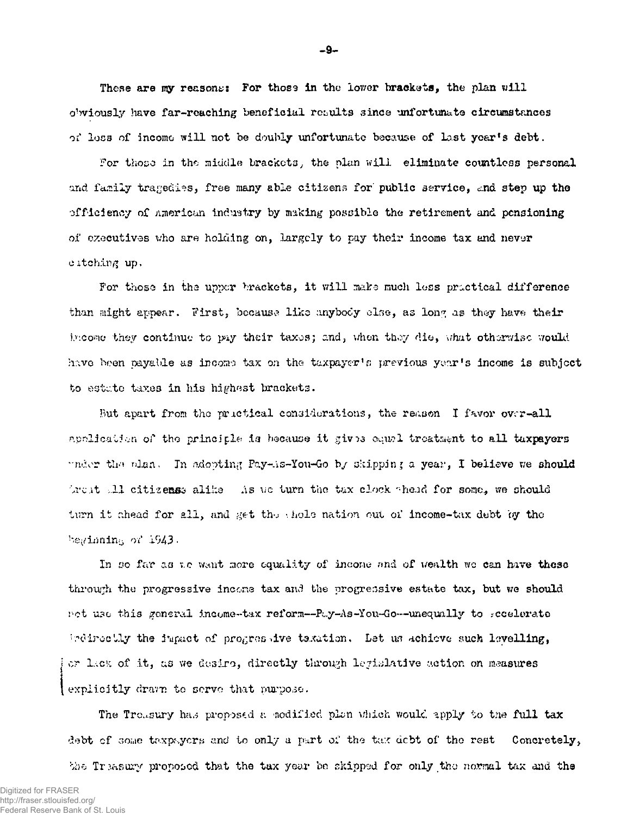These are my reasons: For those in the lower brackets, the plan will obviously have far-reaching beneficial results since unfortunate circumstances of loss of income will not be doubly unfortunate because of last year's debt.

For those in the middle brackets, the plan will eliminate countless personal and family tragedies, free many able citizens for public service, and step up the efficiency of American industry by making possible the retirement and pensioning of executives who are holding on, largely to pay their income tax and never citching up.

For those in the upper brackets, it will make much less practical difference than might appear. First, because like maybody clse, as long as they have their income they continue to pay their taxes; and, when they die, what otherwise would have been payable as income tax on the taxpayer's previous year's income is subject to estate taxes in his highest brackets.

But apart from the prictical considerations, the reason I favor over-all application of the principle is because it gives equal treatment to all taxpayers under the plan. In adopting Pay-As-You-Go by skipping a year, I believe we should Arest all citizenss alike This we turn the tax clock shead for some, we should turn it chead for all, and get the shole nation out of income-tax debt by the beginning of 1943.

In so far as we want more equality of income and of wealth we can have these through the progressive income tax and the progressive estate tax, but we should net use this general income-tax reform--Pay-As-You-Go--unequally to secelerate indirectly the impact of progressive taxation. Let us achieve such levelling, or lack of it, as we desire, directly through legislative action on measures explicitly drawn to serve that purpose.

The Trousury has proposed a nodified plan which would apply to the full tax debt of some taxpayers and to only a part of the tax debt of the rest Concretely, the Treasury proposed that the tax year be skipped for only the normal tax and the

 $-9-$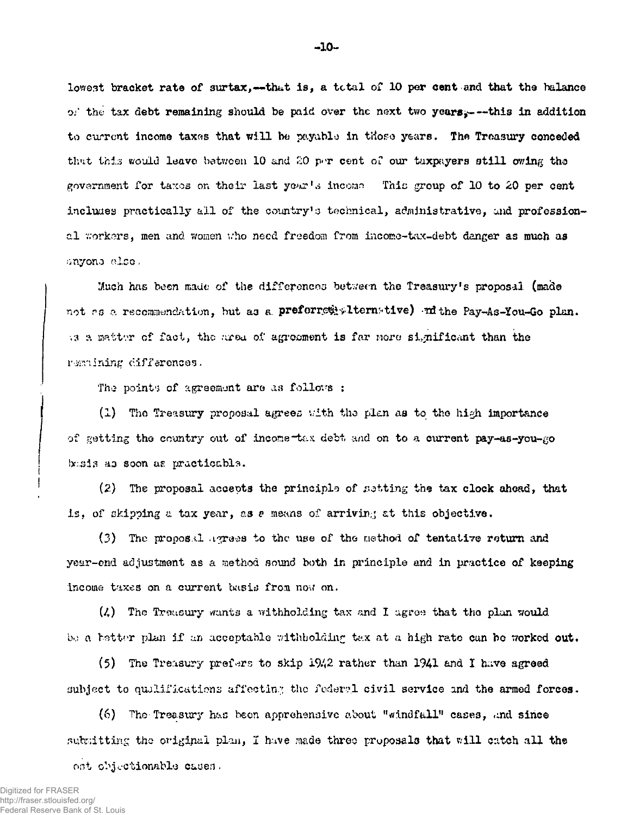lowest bracket rate of surtax,--that is, a total of 10 per cent and that the balance of the tax debt remaining should be paid over the next two years, ---this in addition to current income taxes that will be payable in those years. The Treasury conceded thut t*his* would leave between 10 and *20* p»T cent or our taxpayers still owing tho government for taxes on their last year's income. This group of 10 to 20 per cent includes practically all of the country's technical, administrative, and professional workers, men and women who need freedom from income-tax-debt danger as much as ••inyono olcc -

Much has been made of the differences between the Treasury's proposal (made not *rs* a recommendation, but as a preferred alternative) and the Pay-As-You-Go plan. a a matter of fact, the area of agreement is far nore significant than the remulning differences.

The points of agreement are as follows :

(1) Tho Treasury proposal agrees vith tho plan as to tho high importance of getting tho country out of income-tax debt and on to a current pay-as-you-go basis as soon as practicable.

(2) The proposal accepts the principle of  $s$ stting the tax clock ahead, that is, of skipping a tax year, as *b* means of arriving at this objective.

(3) The propos.il agrees to the use of the method of tentative return and year-end adjustment as a method sound both in principle and in practice of keeping income taxes on a current basis from now on.

 $(2)$  The Treasury wants a withholding tax and I agree that the plan would bo a better plan if an acceptable withholding tax at a high rate can be worked out.

(5) The Treasury prefers to skip  $1942$  rather than  $1941$  and I have agreed subject to qualifications affecting the federal civil service and the armed forces.

(6) The Treasury has been apprehensive about "windfall" cases, and since submitting the original plan, I have made three proposals that will catch all the

ont objectionable cauen.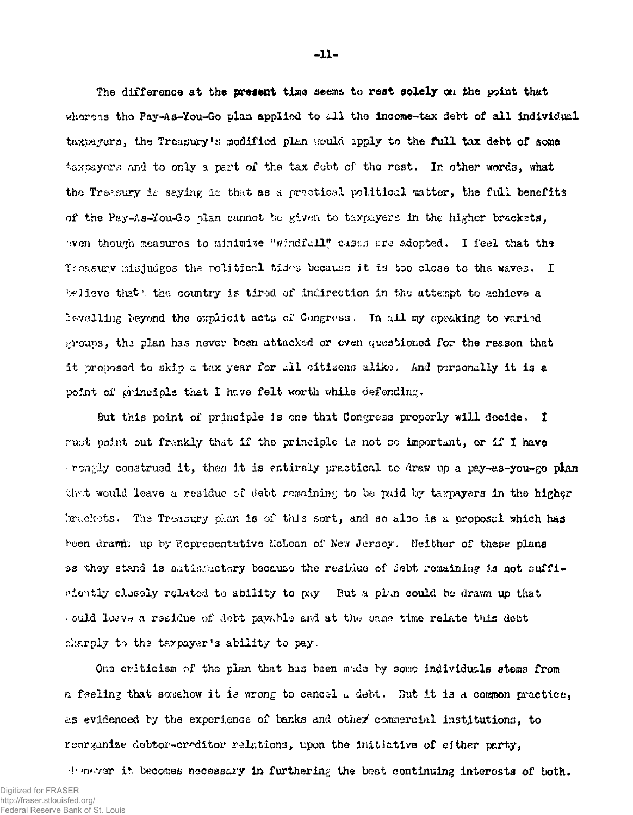The difference at the present time seems to rest solely on the point that whereas the Pay-As-You-Go plan applied to all the income-tax debt of all individual taxpayers, the Treasury's modified plan would apply to the full tax debt of some taxpayers and to only a part of the tax debt of the rest. In other words, what the Treasury is saying is that as a practical political matter, the full benefits of the Pay-As-You-Go plan cannot hu givm to taxpayers in the higher brackets, 'won though measures to minimize "windfall" cases are adopted. I feel that the If the misjudges the political tides because it is too close to the waves. I believe that the country is tired of indirection in the attempt to achieve a levelling beyond the explicit acts of Congress. In all my speaking to varied groups, the plan has never been attacked or even questioned for the reason that it proposed to skip a tax year for all citizens alike. And personally it is a point of principle that I have felt worth while defending.

But this point of principle 5s one that Congress properly will decide, I  $r$ -wat point out frankly that if the principle is not so important, or if I nave rongly construed it, then it is entirely practical to draw *xxp* a pay-as-you-go plan that would leave a residue of debt remaining to be paid by taxpayers in the higher bruckets. The Treasury plan is of this sort, and so also is a proposal which has been drawn; up by Representative McLcan of New Jersey. Neither of these plans as they stand is satisfactory because the residue of debt remaining is not sufficiently closely rqlatod to ability to pay But a plan could bo drawn up that would leave a residue of debt payable and at the same time relate this debt sharply to the taxpayer's ability to pay.

Ons criticism of the plan that has been made by some individuals stems from a feeling that somehow it is wrong to cancol a debt. 3ut it is a coramon practice, as evidenced by the experience of banks and othey commercial institutions, to reorganize debtor-creditor relations, upon the Initiative of either party,

 $\psi$  never it becomes necessary in furthering the bost continuing interests of both.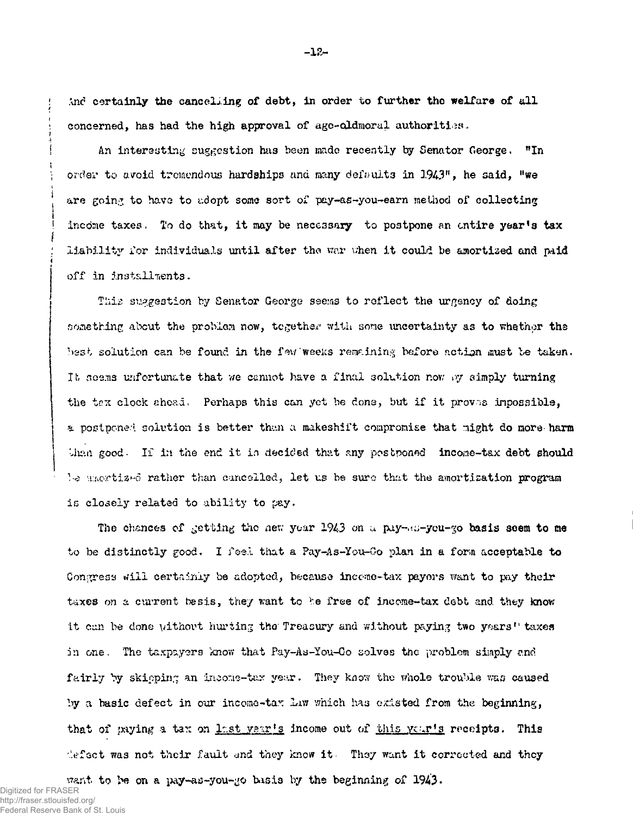And certainly the cancelling of debt, in order to further the welfare of all concerned, has had the high approval of age-oldmoral authorities.

An interesting suggestion has been made recently by Senator George, "In order to avoid tremendous hardships and many defaults in 1943% he said, "we are going to have to adopt some sort of pay-as-you-earn method of collecting income taxes. To do that, it may be necessary to postpone an entire year's tax liability for individuals until after the war when it could be amortised and paid off in installments.

This suggestion by Senator George seems to reflect the urgency of doing something about the problem now, together with sone uncertainty as to whether the best solution can be found in the few weeks remaining before action must be taken. It seems unfortunate that we cannot have a final solution now by simply turning the tex clock ahead. Perhaps this can yet be done, but if it proves impossible, a postponed solution is better than a makeshift compromise that might do more-harm Unan good. If in the end it is decided that any postponed income-tax debt should We anortized rather than cancelled, let us be sure that the amortization program is closely related to ability to pay.

The chances of getting the new year  $1943$  on a pay-Ms-you- $\infty$  basis seem to me to be distinctly good- I feel that a Pay-As-You-Oo plan in a form acceptable to Congress will certainly be adopted, because income-tax payors want to pay their taxes on a current besis, they want to be free of income-tax debt and they know it can be done without hurting the Treasury and without paying two years<sup>11</sup> taxes in one. The taxpayers know that Pay-As-You-Go solves the problem simply and fairly by skipping an income-tax year. They know the whole trouble was caused by a basic defect in our income-tax Lxw which has existed from the beginning, that of paying a tax on last year's income out of this year's receipts. This defect was not their fault and they know it They want it corrected and they

want to be on a pay-as-you-go bisis by the beginning of 1943- Digitized for FRASER http://fraser.stlouisfed.org/ Federal Reserve Bank of St. Louis

**-12 -**